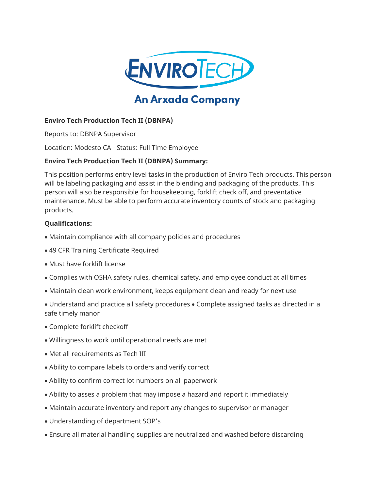

# **An Arxada Company**

## **Enviro Tech Production Tech II (DBNPA)**

Reports to: DBNPA Supervisor

Location: Modesto CA - Status: Full Time Employee

## **Enviro Tech Production Tech II (DBNPA) Summary:**

This position performs entry level tasks in the production of Enviro Tech products. This person will be labeling packaging and assist in the blending and packaging of the products. This person will also be responsible for housekeeping, forklift check off, and preventative maintenance. Must be able to perform accurate inventory counts of stock and packaging products.

#### **Qualifications:**

- Maintain compliance with all company policies and procedures
- 49 CFR Training Certificate Required
- Must have forklift license
- Complies with OSHA safety rules, chemical safety, and employee conduct at all times
- Maintain clean work environment, keeps equipment clean and ready for next use
- Understand and practice all safety procedures Complete assigned tasks as directed in a safe timely manor
- Complete forklift checkoff
- Willingness to work until operational needs are met
- Met all requirements as Tech III
- Ability to compare labels to orders and verify correct
- Ability to confirm correct lot numbers on all paperwork
- Ability to asses a problem that may impose a hazard and report it immediately
- Maintain accurate inventory and report any changes to supervisor or manager
- Understanding of department SOP's
- Ensure all material handling supplies are neutralized and washed before discarding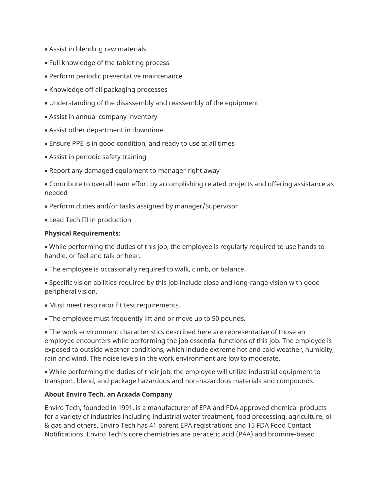- Assist in blending raw materials
- Full knowledge of the tableting process
- Perform periodic preventative maintenance
- Knowledge off all packaging processes
- Understanding of the disassembly and reassembly of the equipment
- Assist in annual company inventory
- Assist other department in downtime
- Ensure PPE is in good condition, and ready to use at all times
- Assist in periodic safety training
- Report any damaged equipment to manager right away
- Contribute to overall team effort by accomplishing related projects and offering assistance as needed
- Perform duties and/or tasks assigned by manager/Supervisor
- Lead Tech III in production

#### **Physical Requirements:**

• While performing the duties of this job, the employee is regularly required to use hands to handle, or feel and talk or hear.

• The employee is occasionally required to walk, climb, or balance.

• Specific vision abilities required by this job include close and long-range vision with good peripheral vision.

- Must meet respirator fit test requirements.
- The employee must frequently lift and or move up to 50 pounds.

• The work environment characteristics described here are representative of those an employee encounters while performing the job essential functions of this job. The employee is exposed to outside weather conditions, which include extreme hot and cold weather, humidity, rain and wind. The noise levels in the work environment are low to moderate.

• While performing the duties of their job, the employee will utilize industrial equipment to transport, blend, and package hazardous and non-hazardous materials and compounds.

## **About Enviro Tech, an Arxada Company**

Enviro Tech, founded in 1991, is a manufacturer of EPA and FDA approved chemical products for a variety of industries including industrial water treatment, food processing, agriculture, oil & gas and others. Enviro Tech has 41 parent EPA registrations and 15 FDA Food Contact Notifications. Enviro Tech's core chemistries are peracetic acid (PAA) and bromine-based